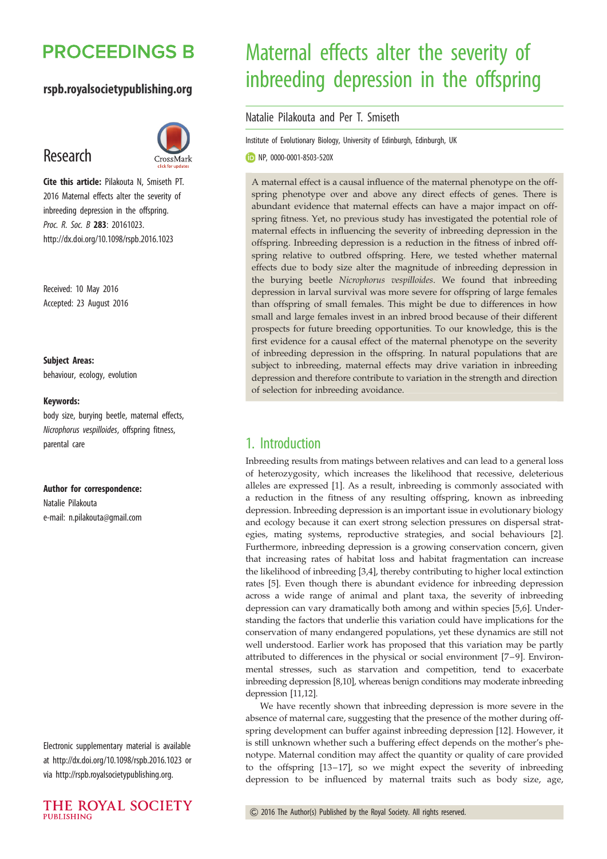# **PROCEEDINGS B**

## rspb.royalsocietypublishing.org

# Research



Cite this article: Pilakouta N, Smiseth PT. 2016 Maternal effects alter the severity of inbreeding depression in the offspring. Proc. R. Soc. B 283: 20161023. http://dx.doi.org/10.1098/rspb.2016.1023

Received: 10 May 2016 Accepted: 23 August 2016

#### Subject Areas:

behaviour, ecology, evolution

#### Keywords:

body size, burying beetle, maternal effects, Nicrophorus vespilloides, offspring fitness, parental care

#### Author for correspondence:

Natalie Pilakouta e-mail: [n.pilakouta@gmail.com](mailto:n.pilakouta@gmail.com)

Electronic supplementary material is available at<http://dx.doi.org/10.1098/rspb.2016.1023> or via<http://rspb.royalsocietypublishing.org>.



# Maternal effects alter the severity of inbreeding depression in the offspring

#### Natalie Pilakouta and Per T. Smiseth

Institute of Evolutionary Biology, University of Edinburgh, Edinburgh, UK

NP, [0000-0001-8503-520X](http://orcid.org/0000-0001-8503-520X)

A maternal effect is a causal influence of the maternal phenotype on the offspring phenotype over and above any direct effects of genes. There is abundant evidence that maternal effects can have a major impact on offspring fitness. Yet, no previous study has investigated the potential role of maternal effects in influencing the severity of inbreeding depression in the offspring. Inbreeding depression is a reduction in the fitness of inbred offspring relative to outbred offspring. Here, we tested whether maternal effects due to body size alter the magnitude of inbreeding depression in the burying beetle Nicrophorus vespilloides. We found that inbreeding depression in larval survival was more severe for offspring of large females than offspring of small females. This might be due to differences in how small and large females invest in an inbred brood because of their different prospects for future breeding opportunities. To our knowledge, this is the first evidence for a causal effect of the maternal phenotype on the severity of inbreeding depression in the offspring. In natural populations that are subject to inbreeding, maternal effects may drive variation in inbreeding depression and therefore contribute to variation in the strength and direction of selection for inbreeding avoidance.

## 1. Introduction

Inbreeding results from matings between relatives and can lead to a general loss of heterozygosity, which increases the likelihood that recessive, deleterious alleles are expressed [[1](#page-5-0)]. As a result, inbreeding is commonly associated with a reduction in the fitness of any resulting offspring, known as inbreeding depression. Inbreeding depression is an important issue in evolutionary biology and ecology because it can exert strong selection pressures on dispersal strategies, mating systems, reproductive strategies, and social behaviours [\[2\]](#page-5-0). Furthermore, inbreeding depression is a growing conservation concern, given that increasing rates of habitat loss and habitat fragmentation can increase the likelihood of inbreeding [[3,4\]](#page-5-0), thereby contributing to higher local extinction rates [\[5\]](#page-5-0). Even though there is abundant evidence for inbreeding depression across a wide range of animal and plant taxa, the severity of inbreeding depression can vary dramatically both among and within species [[5,6\]](#page-5-0). Understanding the factors that underlie this variation could have implications for the conservation of many endangered populations, yet these dynamics are still not well understood. Earlier work has proposed that this variation may be partly attributed to differences in the physical or social environment [[7](#page-5-0)–[9](#page-5-0)]. Environmental stresses, such as starvation and competition, tend to exacerbate inbreeding depression [[8,10\]](#page-5-0), whereas benign conditions may moderate inbreeding depression [\[11,12\]](#page-5-0).

We have recently shown that inbreeding depression is more severe in the absence of maternal care, suggesting that the presence of the mother during offspring development can buffer against inbreeding depression [\[12](#page-5-0)]. However, it is still unknown whether such a buffering effect depends on the mother's phenotype. Maternal condition may affect the quantity or quality of care provided to the offspring [[13](#page-5-0)–[17\]](#page-5-0), so we might expect the severity of inbreeding depression to be influenced by maternal traits such as body size, age,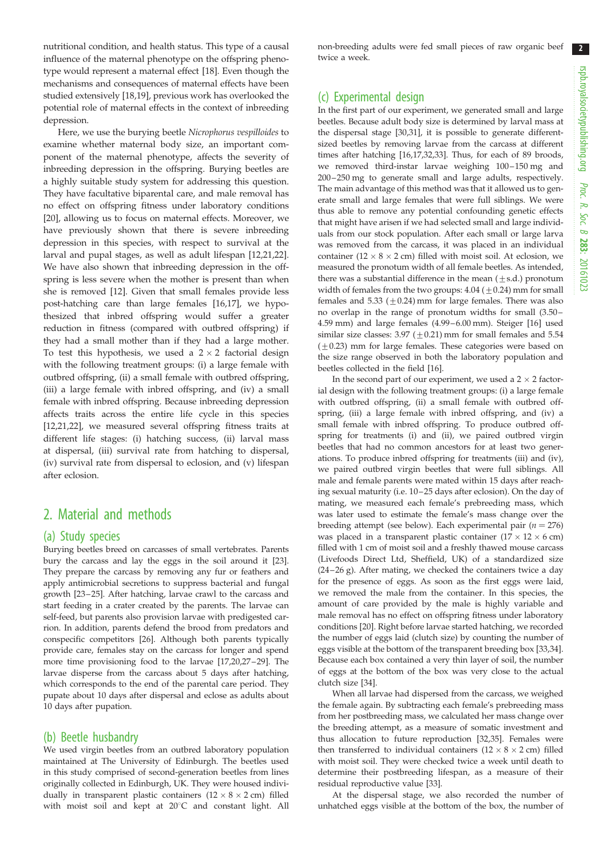$2<sup>2</sup>$ 

nutritional condition, and health status. This type of a causal influence of the maternal phenotype on the offspring phenotype would represent a maternal effect [\[18](#page-5-0)]. Even though the mechanisms and consequences of maternal effects have been studied extensively [[18,19](#page-5-0)], previous work has overlooked the potential role of maternal effects in the context of inbreeding depression.

Here, we use the burying beetle Nicrophorus vespilloides to examine whether maternal body size, an important component of the maternal phenotype, affects the severity of inbreeding depression in the offspring. Burying beetles are a highly suitable study system for addressing this question. They have facultative biparental care, and male removal has no effect on offspring fitness under laboratory conditions [\[20](#page-5-0)], allowing us to focus on maternal effects. Moreover, we have previously shown that there is severe inbreeding depression in this species, with respect to survival at the larval and pupal stages, as well as adult lifespan [[12,21,22](#page-5-0)]. We have also shown that inbreeding depression in the offspring is less severe when the mother is present than when she is removed [\[12](#page-5-0)]. Given that small females provide less post-hatching care than large females [[16,17\]](#page-5-0), we hypothesized that inbred offspring would suffer a greater reduction in fitness (compared with outbred offspring) if they had a small mother than if they had a large mother. To test this hypothesis, we used a  $2 \times 2$  factorial design with the following treatment groups: (i) a large female with outbred offspring, (ii) a small female with outbred offspring, (iii) a large female with inbred offspring, and (iv) a small female with inbred offspring. Because inbreeding depression affects traits across the entire life cycle in this species [\[12](#page-5-0),[21,22\]](#page-5-0), we measured several offspring fitness traits at different life stages: (i) hatching success, (ii) larval mass at dispersal, (iii) survival rate from hatching to dispersal, (iv) survival rate from dispersal to eclosion, and (v) lifespan after eclosion.

## 2. Material and methods

#### (a) Study species

Burying beetles breed on carcasses of small vertebrates. Parents bury the carcass and lay the eggs in the soil around it [\[23\]](#page-5-0). They prepare the carcass by removing any fur or feathers and apply antimicrobial secretions to suppress bacterial and fungal growth [\[23](#page-5-0) – [25](#page-5-0)]. After hatching, larvae crawl to the carcass and start feeding in a crater created by the parents. The larvae can self-feed, but parents also provision larvae with predigested carrion. In addition, parents defend the brood from predators and conspecific competitors [\[26\]](#page-5-0). Although both parents typically provide care, females stay on the carcass for longer and spend more time provisioning food to the larvae [\[17,20,27](#page-5-0) – [29](#page-5-0)]. The larvae disperse from the carcass about 5 days after hatching, which corresponds to the end of the parental care period. They pupate about 10 days after dispersal and eclose as adults about 10 days after pupation.

#### (b) Beetle husbandry

We used virgin beetles from an outbred laboratory population maintained at The University of Edinburgh. The beetles used in this study comprised of second-generation beetles from lines originally collected in Edinburgh, UK. They were housed individually in transparent plastic containers  $(12 \times 8 \times 2 \text{ cm})$  filled with moist soil and kept at 20°C and constant light. All

non-breeding adults were fed small pieces of raw organic beef twice a week.

## (c) Experimental design

In the first part of our experiment, we generated small and large beetles. Because adult body size is determined by larval mass at the dispersal stage [[30,31\]](#page-5-0), it is possible to generate differentsized beetles by removing larvae from the carcass at different times after hatching [\[16,17,32,33\]](#page-5-0). Thus, for each of 89 broods, we removed third-instar larvae weighing  $100 - 150$  mg and 200 – 250 mg to generate small and large adults, respectively. The main advantage of this method was that it allowed us to generate small and large females that were full siblings. We were thus able to remove any potential confounding genetic effects that might have arisen if we had selected small and large individuals from our stock population. After each small or large larva was removed from the carcass, it was placed in an individual container ( $12 \times 8 \times 2$  cm) filled with moist soil. At eclosion, we measured the pronotum width of all female beetles. As intended, there was a substantial difference in the mean  $(\pm s.d.)$  pronotum width of females from the two groups:  $4.04$  ( $\pm$  0.24) mm for small females and 5.33 ( $\pm$ 0.24) mm for large females. There was also no overlap in the range of pronotum widths for small (3.50 – 4.59 mm) and large females (4.99–6.00 mm). Steiger [[16](#page-5-0)] used similar size classes:  $3.97 \left( \pm 0.21 \right)$  mm for small females and  $5.54$  $(\pm 0.23)$  mm for large females. These categories were based on the size range observed in both the laboratory population and beetles collected in the field [\[16\]](#page-5-0).

In the second part of our experiment, we used a  $2 \times 2$  factorial design with the following treatment groups: (i) a large female with outbred offspring, (ii) a small female with outbred offspring, (iii) a large female with inbred offspring, and (iv) a small female with inbred offspring. To produce outbred offspring for treatments (i) and (ii), we paired outbred virgin beetles that had no common ancestors for at least two generations. To produce inbred offspring for treatments (iii) and (iv), we paired outbred virgin beetles that were full siblings. All male and female parents were mated within 15 days after reaching sexual maturity (i.e. 10 – 25 days after eclosion). On the day of mating, we measured each female's prebreeding mass, which was later used to estimate the female's mass change over the breeding attempt (see below). Each experimental pair ( $n = 276$ ) was placed in a transparent plastic container  $(17 \times 12 \times 6$  cm) filled with 1 cm of moist soil and a freshly thawed mouse carcass (Livefoods Direct Ltd, Sheffield, UK) of a standardized size  $(24-26 g)$ . After mating, we checked the containers twice a day for the presence of eggs. As soon as the first eggs were laid, we removed the male from the container. In this species, the amount of care provided by the male is highly variable and male removal has no effect on offspring fitness under laboratory conditions [\[20\]](#page-5-0). Right before larvae started hatching, we recorded the number of eggs laid (clutch size) by counting the number of eggs visible at the bottom of the transparent breeding box [[33,34\]](#page-5-0). Because each box contained a very thin layer of soil, the number of eggs at the bottom of the box was very close to the actual clutch size [[34](#page-5-0)].

When all larvae had dispersed from the carcass, we weighed the female again. By subtracting each female's prebreeding mass from her postbreeding mass, we calculated her mass change over the breeding attempt, as a measure of somatic investment and thus allocation to future reproduction [[32,35\]](#page-5-0). Females were then transferred to individual containers  $(12 \times 8 \times 2 \text{ cm})$  filled with moist soil. They were checked twice a week until death to determine their postbreeding lifespan, as a measure of their residual reproductive value [[33](#page-5-0)].

At the dispersal stage, we also recorded the number of unhatched eggs visible at the bottom of the box, the number of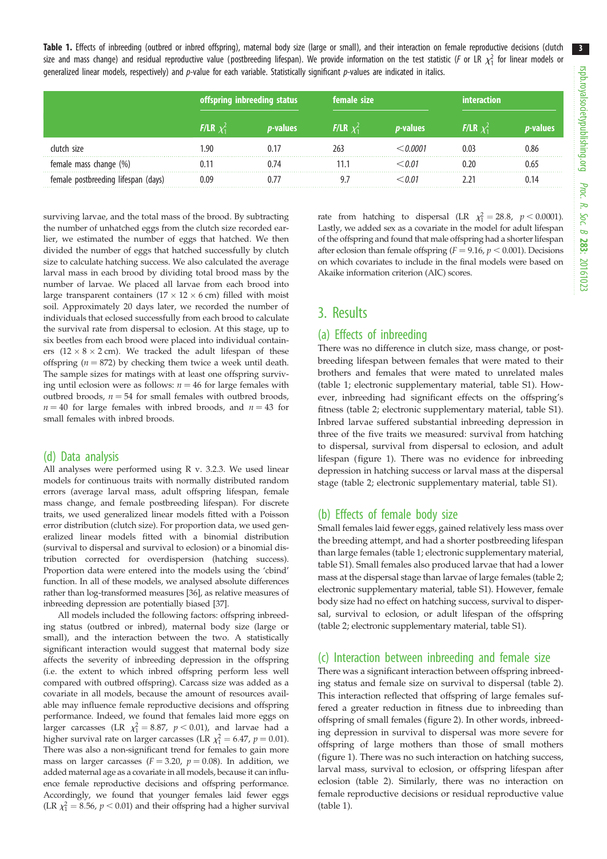<span id="page-2-0"></span>Table 1. Effects of inbreeding (outbred or inbred offspring), maternal body size (large or small), and their interaction on female reproductive decisions (clutch size and mass change) and residual reproductive value (postbreeding lifespan). We provide information on the test statistic (F or LR  $\chi_1^2$  for linear models or generalized linear models, respectively) and  $p$ -value for each variable. Statistically significant  $p$ -values are indicated in italics.

|                                     | offspring inbreeding status |                  | female size            |                  | interaction            |          |
|-------------------------------------|-----------------------------|------------------|------------------------|------------------|------------------------|----------|
|                                     | <b>F/LR</b> $\chi_1^2$      | <i>p</i> -values | <b>F/LR</b> $\chi^2_1$ | <i>p</i> -values | <b>F/LR</b> $\chi_1^2$ | o-values |
| clutch size                         | l 90                        |                  |                        | N NNN 1          |                        | 0.86     |
| female mass change (%)              |                             |                  |                        | 0 O 1            |                        | 0.65     |
| female postbreeding lifespan (days) |                             |                  |                        |                  |                        |          |

surviving larvae, and the total mass of the brood. By subtracting the number of unhatched eggs from the clutch size recorded earlier, we estimated the number of eggs that hatched. We then divided the number of eggs that hatched successfully by clutch size to calculate hatching success. We also calculated the average larval mass in each brood by dividing total brood mass by the number of larvae. We placed all larvae from each brood into large transparent containers ( $17 \times 12 \times 6$  cm) filled with moist soil. Approximately 20 days later, we recorded the number of individuals that eclosed successfully from each brood to calculate the survival rate from dispersal to eclosion. At this stage, up to six beetles from each brood were placed into individual containers  $(12 \times 8 \times 2$  cm). We tracked the adult lifespan of these offspring ( $n = 872$ ) by checking them twice a week until death. The sample sizes for matings with at least one offspring surviving until eclosion were as follows:  $n = 46$  for large females with outbred broods,  $n = 54$  for small females with outbred broods,  $n = 40$  for large females with inbred broods, and  $n = 43$  for small females with inbred broods.

### (d) Data analysis

All analyses were performed using R v. 3.2.3. We used linear models for continuous traits with normally distributed random errors (average larval mass, adult offspring lifespan, female mass change, and female postbreeding lifespan). For discrete traits, we used generalized linear models fitted with a Poisson error distribution (clutch size). For proportion data, we used generalized linear models fitted with a binomial distribution (survival to dispersal and survival to eclosion) or a binomial distribution corrected for overdispersion (hatching success). Proportion data were entered into the models using the 'cbind' function. In all of these models, we analysed absolute differences rather than log-transformed measures [\[36\]](#page-6-0), as relative measures of inbreeding depression are potentially biased [[37\]](#page-6-0).

All models included the following factors: offspring inbreeding status (outbred or inbred), maternal body size (large or small), and the interaction between the two. A statistically significant interaction would suggest that maternal body size affects the severity of inbreeding depression in the offspring (i.e. the extent to which inbred offspring perform less well compared with outbred offspring). Carcass size was added as a covariate in all models, because the amount of resources available may influence female reproductive decisions and offspring performance. Indeed, we found that females laid more eggs on larger carcasses (LR  $\chi_1^2 = 8.87$ ,  $p < 0.01$ ), and larvae had a higher survival rate on larger carcasses (LR  $\chi_1^2 = 6.47$ ,  $p = 0.01$ ). There was also a non-significant trend for females to gain more mass on larger carcasses ( $F = 3.20$ ,  $p = 0.08$ ). In addition, we added maternal age as a covariate in all models, because it can influence female reproductive decisions and offspring performance. Accordingly, we found that younger females laid fewer eggs (LR  $\chi_1^2 = 8.56$ ,  $p < 0.01$ ) and their offspring had a higher survival

rate from hatching to dispersal (LR  $\chi_1^2 = 28.8$ ,  $p < 0.0001$ ). Lastly, we added sex as a covariate in the model for adult lifespan of the offspring and found that male offspring had a shorter lifespan after eclosion than female offspring ( $F = 9.16$ ,  $p < 0.001$ ). Decisions on which covariates to include in the final models were based on Akaike information criterion (AIC) scores.

## 3. Results

#### (a) Effects of inbreeding

There was no difference in clutch size, mass change, or postbreeding lifespan between females that were mated to their brothers and females that were mated to unrelated males (table 1; electronic supplementary material, table S1). However, inbreeding had significant effects on the offspring's fitness ([table 2;](#page-3-0) electronic supplementary material, table S1). Inbred larvae suffered substantial inbreeding depression in three of the five traits we measured: survival from hatching to dispersal, survival from dispersal to eclosion, and adult lifespan [\(figure 1](#page-4-0)). There was no evidence for inbreeding depression in hatching success or larval mass at the dispersal stage ([table 2](#page-3-0); electronic supplementary material, table S1).

### (b) Effects of female body size

Small females laid fewer eggs, gained relatively less mass over the breeding attempt, and had a shorter postbreeding lifespan than large females (table 1; electronic supplementary material, table S1). Small females also produced larvae that had a lower mass at the dispersal stage than larvae of large females [\(table 2](#page-3-0); electronic supplementary material, table S1). However, female body size had no effect on hatching success, survival to dispersal, survival to eclosion, or adult lifespan of the offspring ([table 2](#page-3-0); electronic supplementary material, table S1).

#### (c) Interaction between inbreeding and female size

There was a significant interaction between offspring inbreeding status and female size on survival to dispersal ([table 2\)](#page-3-0). This interaction reflected that offspring of large females suffered a greater reduction in fitness due to inbreeding than offspring of small females ([figure 2\)](#page-4-0). In other words, inbreeding depression in survival to dispersal was more severe for offspring of large mothers than those of small mothers ([figure 1\)](#page-4-0). There was no such interaction on hatching success, larval mass, survival to eclosion, or offspring lifespan after eclosion ([table 2\)](#page-3-0). Similarly, there was no interaction on female reproductive decisions or residual reproductive value (table 1).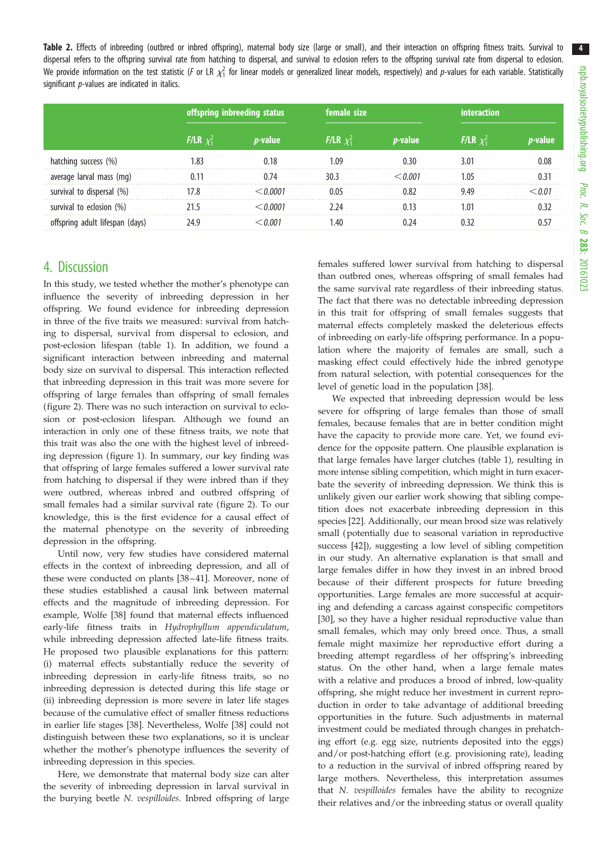<span id="page-3-0"></span>

|                           | offspring inbreeding status |         | female size       |         |               |  |
|---------------------------|-----------------------------|---------|-------------------|---------|---------------|--|
|                           | <b>F/LR</b> $x_1$           | p-value | <b>F/LR</b> $x_1$ | p-value | $F/LR$ $\chi$ |  |
| hatching success (%)      |                             |         | l N9              |         |               |  |
| average larval mass (mg)  |                             |         |                   |         |               |  |
| survival to dispersal (%) |                             |         | በ በና              |         |               |  |
| survival to eclosion (%)  |                             |         |                   |         |               |  |
| pring adult lifespan.     |                             |         | -40               |         |               |  |

## 4. Discussion

In this study, we tested whether the mother's phenotype can influence the severity of inbreeding depression in her offspring. We found evidence for inbreeding depression in three of the five traits we measured: survival from hatching to dispersal, survival from dispersal to eclosion, and post-eclosion lifespan ([table 1\)](#page-2-0). In addition, we found a significant interaction between inbreeding and maternal body size on survival to dispersal. This interaction reflected that inbreeding depression in this trait was more severe for offspring of large females than offspring of small females [\(figure 2\)](#page-4-0). There was no such interaction on survival to eclosion or post-eclosion lifespan. Although we found an interaction in only one of these fitness traits, we note that this trait was also the one with the highest level of inbreeding depression [\(figure 1\)](#page-4-0). In summary, our key finding was that offspring of large females suffered a lower survival rate from hatching to dispersal if they were inbred than if they were outbred, whereas inbred and outbred offspring of small females had a similar survival rate [\(figure 2](#page-4-0)). To our knowledge, this is the first evidence for a causal effect of the maternal phenotype on the severity of inbreeding depression in the offspring.

Until now, very few studies have considered maternal effects in the context of inbreeding depression, and all of these were conducted on plants [[38](#page-6-0)–[41\]](#page-6-0). Moreover, none of these studies established a causal link between maternal effects and the magnitude of inbreeding depression. For example, Wolfe [[38\]](#page-6-0) found that maternal effects influenced early-life fitness traits in Hydrophyllum appendiculatum, while inbreeding depression affected late-life fitness traits. He proposed two plausible explanations for this pattern: (i) maternal effects substantially reduce the severity of inbreeding depression in early-life fitness traits, so no inbreeding depression is detected during this life stage or (ii) inbreeding depression is more severe in later life stages because of the cumulative effect of smaller fitness reductions in earlier life stages [\[38](#page-6-0)]. Nevertheless, Wolfe [38] could not distinguish between these two explanations, so it is unclear whether the mother's phenotype influences the severity of inbreeding depression in this species.

Here, we demonstrate that maternal body size can alter the severity of inbreeding depression in larval survival in the burying beetle N. vespilloides. Inbred offspring of large

females suffered lower survival from hatching to dispersal than outbred ones, whereas offspring of small females had the same survival rate regardless of their inbreeding status. The fact that there was no detectable inbreeding depression in this trait for offspring of small females suggests that maternal effects completely masked the deleterious effects of inbreeding on early-life offspring performance. In a population where the majority of females are small, such a masking effect could effectively hide the inbred genotype from natural selection, with potential consequences for the level of genetic load in the population [\[38](#page-6-0)].

We expected that inbreeding depression would be less severe for offspring of large females than those of small females, because females that are in better condition might have the capacity to provide more care. Yet, we found evidence for the opposite pattern. One plausible explanation is that large females have larger clutches [\(table 1\)](#page-2-0), resulting in more intense sibling competition, which might in turn exacerbate the severity of inbreeding depression. We think this is unlikely given our earlier work showing that sibling competition does not exacerbate inbreeding depression in this species [[22\]](#page-5-0). Additionally, our mean brood size was relatively small (potentially due to seasonal variation in reproductive success [\[42](#page-6-0)]), suggesting a low level of sibling competition in our study. An alternative explanation is that small and large females differ in how they invest in an inbred brood because of their different prospects for future breeding opportunities. Large females are more successful at acquiring and defending a carcass against conspecific competitors [[30\]](#page-5-0), so they have a higher residual reproductive value than small females, which may only breed once. Thus, a small female might maximize her reproductive effort during a breeding attempt regardless of her offspring's inbreeding status. On the other hand, when a large female mates with a relative and produces a brood of inbred, low-quality offspring, she might reduce her investment in current reproduction in order to take advantage of additional breeding opportunities in the future. Such adjustments in maternal investment could be mediated through changes in prehatching effort (e.g. egg size, nutrients deposited into the eggs) and/or post-hatching effort (e.g. provisioning rate), leading to a reduction in the survival of inbred offspring reared by large mothers. Nevertheless, this interpretation assumes that N. vespilloides females have the ability to recognize their relatives and/or the inbreeding status or overall quality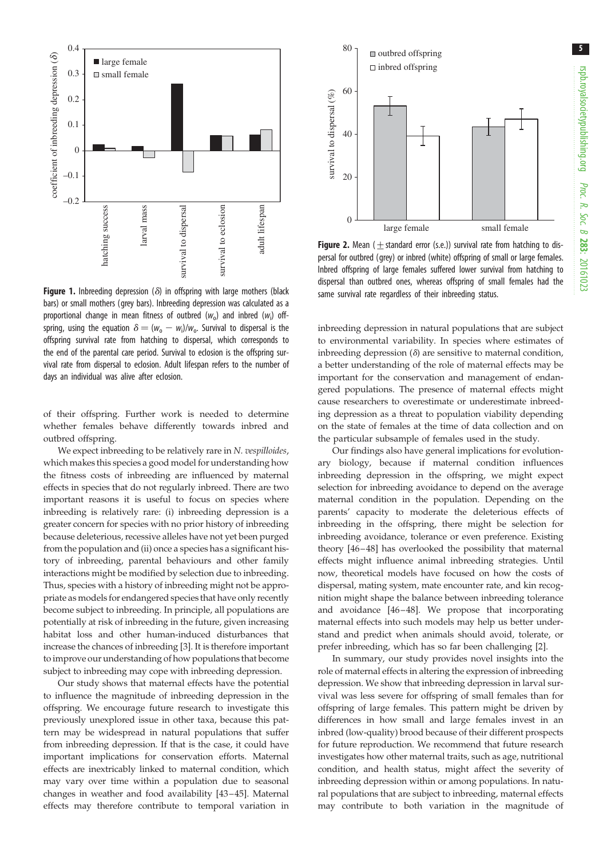5

<span id="page-4-0"></span>

Figure 1. Inbreeding depression ( $\delta$ ) in offspring with large mothers (black bars) or small mothers (grey bars). Inbreeding depression was calculated as a proportional change in mean fitness of outbred  $(w_0)$  and inbred  $(w_i)$  offspring, using the equation  $\delta = (w_0 - w_i)/w_0$ . Survival to dispersal is the offspring survival rate from hatching to dispersal, which corresponds to the end of the parental care period. Survival to eclosion is the offspring survival rate from dispersal to eclosion. Adult lifespan refers to the number of days an individual was alive after eclosion.

of their offspring. Further work is needed to determine whether females behave differently towards inbred and outbred offspring.

We expect inbreeding to be relatively rare in N. vespilloides, which makes this species a good model for understanding how the fitness costs of inbreeding are influenced by maternal effects in species that do not regularly inbreed. There are two important reasons it is useful to focus on species where inbreeding is relatively rare: (i) inbreeding depression is a greater concern for species with no prior history of inbreeding because deleterious, recessive alleles have not yet been purged from the population and (ii) once a species has a significant history of inbreeding, parental behaviours and other family interactions might be modified by selection due to inbreeding. Thus, species with a history of inbreeding might not be appropriate as models for endangered species that have only recently become subject to inbreeding. In principle, all populations are potentially at risk of inbreeding in the future, given increasing habitat loss and other human-induced disturbances that increase the chances of inbreeding [[3](#page-5-0)]. It is therefore important to improve our understanding of how populations that become subject to inbreeding may cope with inbreeding depression.

Our study shows that maternal effects have the potential to influence the magnitude of inbreeding depression in the offspring. We encourage future research to investigate this previously unexplored issue in other taxa, because this pattern may be widespread in natural populations that suffer from inbreeding depression. If that is the case, it could have important implications for conservation efforts. Maternal effects are inextricably linked to maternal condition, which may vary over time within a population due to seasonal changes in weather and food availability [[43](#page-6-0)–[45](#page-6-0)]. Maternal effects may therefore contribute to temporal variation in



**Figure 2.** Mean ( $\pm$  standard error (s.e.)) survival rate from hatching to dispersal for outbred (grey) or inbred (white) offspring of small or large females. Inbred offspring of large females suffered lower survival from hatching to dispersal than outbred ones, whereas offspring of small females had the same survival rate regardless of their inbreeding status.

inbreeding depression in natural populations that are subject to environmental variability. In species where estimates of inbreeding depression  $(\delta)$  are sensitive to maternal condition, a better understanding of the role of maternal effects may be important for the conservation and management of endangered populations. The presence of maternal effects might cause researchers to overestimate or underestimate inbreeding depression as a threat to population viability depending on the state of females at the time of data collection and on the particular subsample of females used in the study.

Our findings also have general implications for evolutionary biology, because if maternal condition influences inbreeding depression in the offspring, we might expect selection for inbreeding avoidance to depend on the average maternal condition in the population. Depending on the parents' capacity to moderate the deleterious effects of inbreeding in the offspring, there might be selection for inbreeding avoidance, tolerance or even preference. Existing theory [[46](#page-6-0)–[48](#page-6-0)] has overlooked the possibility that maternal effects might influence animal inbreeding strategies. Until now, theoretical models have focused on how the costs of dispersal, mating system, mate encounter rate, and kin recognition might shape the balance between inbreeding tolerance and avoidance [\[46](#page-6-0) –[48](#page-6-0)]. We propose that incorporating maternal effects into such models may help us better understand and predict when animals should avoid, tolerate, or prefer inbreeding, which has so far been challenging [\[2\]](#page-5-0).

In summary, our study provides novel insights into the role of maternal effects in altering the expression of inbreeding depression. We show that inbreeding depression in larval survival was less severe for offspring of small females than for offspring of large females. This pattern might be driven by differences in how small and large females invest in an inbred (low-quality) brood because of their different prospects for future reproduction. We recommend that future research investigates how other maternal traits, such as age, nutritional condition, and health status, might affect the severity of inbreeding depression within or among populations. In natural populations that are subject to inbreeding, maternal effects may contribute to both variation in the magnitude of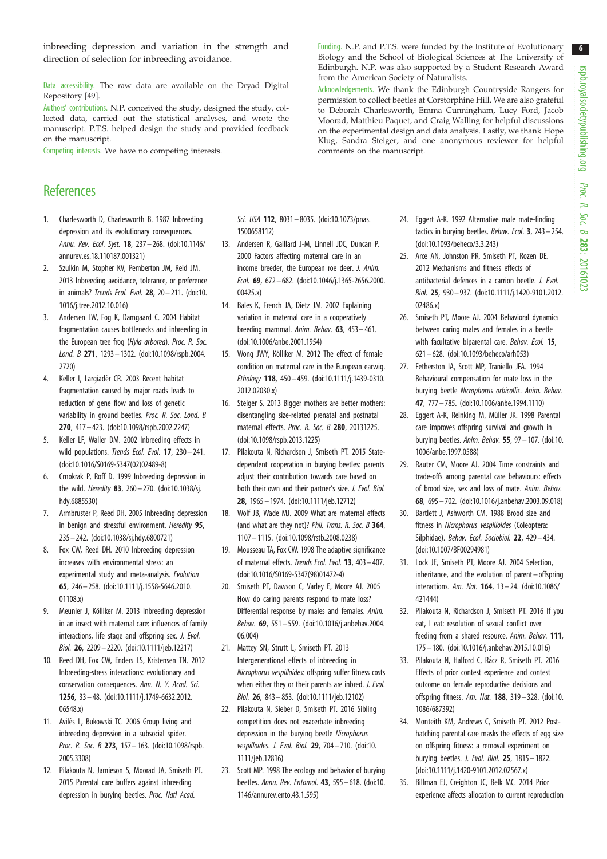6

<span id="page-5-0"></span>inbreeding depression and variation in the strength and direction of selection for inbreeding avoidance.

Data accessibility. The raw data are available on the Dryad Digital Repository [[49\]](#page-6-0).

Authors' contributions. N.P. conceived the study, designed the study, collected data, carried out the statistical analyses, and wrote the manuscript. P.T.S. helped design the study and provided feedback on the manuscript.

Competing interests. We have no competing interests.

## **References**

- 1. Charlesworth D, Charlesworth B. 1987 Inbreeding depression and its evolutionary consequences. Annu. Rev. Ecol. Syst. 18, 237– 268. ([doi:10.1146/](http://dx.doi.org/10.1146/annurev.es.18.110187.001321) [annurev.es.18.110187.001321\)](http://dx.doi.org/10.1146/annurev.es.18.110187.001321)
- 2. Szulkin M, Stopher KV, Pemberton JM, Reid JM. 2013 Inbreeding avoidance, tolerance, or preference in animals? Trends Ecol. Evol. 28, 20– 211. ([doi:10.](http://dx.doi.org/10.1016/j.tree.2012.10.016) [1016/j.tree.2012.10.016](http://dx.doi.org/10.1016/j.tree.2012.10.016))
- 3. Andersen LW, Fog K, Damgaard C. 2004 Habitat fragmentation causes bottlenecks and inbreeding in the European tree frog (Hyla arborea). Proc. R. Soc. Lond. B 271, 1293– 1302. ([doi:10.1098/rspb.2004.](http://dx.doi.org/10.1098/rspb.2004.2720) [2720\)](http://dx.doi.org/10.1098/rspb.2004.2720)
- 4. Keller I, Largiadèr CR. 2003 Recent habitat fragmentation caused by major roads leads to reduction of gene flow and loss of genetic variability in ground beetles. Proc. R. Soc. Lond. B 270, 417– 423. [\(doi:10.1098/rspb.2002.2247](http://dx.doi.org/10.1098/rspb.2002.2247))
- 5. Keller LF, Waller DM. 2002 Inbreeding effects in wild populations. Trends Ecol. Evol. 17, 230-241. [\(doi:10.1016/S0169-5347\(02\)02489-8](http://dx.doi.org/10.1016/S0169-5347(02)02489-8))
- 6. Crnokrak P, Roff D. 1999 Inbreeding depression in the wild. *Heredity* 83, 260-270. [\(doi:10.1038/sj.](http://dx.doi.org/10.1038/sj.hdy.6885530) [hdy.6885530](http://dx.doi.org/10.1038/sj.hdy.6885530))
- 7. Armbruster P, Reed DH. 2005 Inbreeding depression in benign and stressful environment. Heredity 95, 235– 242. ([doi:10.1038/sj.hdy.6800721](http://dx.doi.org/10.1038/sj.hdy.6800721))
- 8. Fox CW, Reed DH. 2010 Inbreeding depression increases with environmental stress: an experimental study and meta-analysis. Evolution 65, 246– 258. ([doi:10.1111/j.1558-5646.2010.](http://dx.doi.org/10.1111/j.1558-5646.2010.01108.x) [01108.x\)](http://dx.doi.org/10.1111/j.1558-5646.2010.01108.x)
- 9. Meunier J, Kölliker M. 2013 Inbreeding depression in an insect with maternal care: influences of family interactions, life stage and offspring sex. J. Evol. Biol. 26, 2209– 2220. [\(doi:10.1111/jeb.12217\)](http://dx.doi.org/10.1111/jeb.12217)
- 10. Reed DH, Fox CW, Enders LS, Kristensen TN. 2012 Inbreeding-stress interactions: evolutionary and conservation consequences. Ann. N. Y. Acad. Sci. 1256, 33 – 48. [\(doi:10.1111/j.1749-6632.2012.](http://dx.doi.org/10.1111/j.1749-6632.2012.06548.x) [06548.x\)](http://dx.doi.org/10.1111/j.1749-6632.2012.06548.x)
- 11. Avilés L, Bukowski TC. 2006 Group living and inbreeding depression in a subsocial spider. Proc. R. Soc. B 273, 157-163. ([doi:10.1098/rspb.](http://dx.doi.org/10.1098/rspb.2005.3308) [2005.3308\)](http://dx.doi.org/10.1098/rspb.2005.3308)
- 12. Pilakouta N, Jamieson S, Moorad JA, Smiseth PT. 2015 Parental care buffers against inbreeding depression in burying beetles. Proc. Natl Acad.

Sci. USA 112, 8031-8035. ([doi:10.1073/pnas.](http://dx.doi.org/10.1073/pnas.1500658112) [1500658112\)](http://dx.doi.org/10.1073/pnas.1500658112)

- 13. Andersen R, Gaillard J-M, Linnell JDC, Duncan P. 2000 Factors affecting maternal care in an income breeder, the European roe deer. J. Anim. Ecol. 69, 672– 682. ([doi:10.1046/j.1365-2656.2000.](http://dx.doi.org/10.1046/j.1365-2656.2000.00425.x) [00425.x](http://dx.doi.org/10.1046/j.1365-2656.2000.00425.x))
- 14. Bales K, French JA, Dietz JM. 2002 Explaining variation in maternal care in a cooperatively breeding mammal. Anim. Behav.  $63$ ,  $453 - 461$ . [\(doi:10.1006/anbe.2001.1954\)](http://dx.doi.org/10.1006/anbe.2001.1954)
- 15. Wong JWY, Kölliker M. 2012 The effect of female condition on maternal care in the European earwig. Ethology 118, 450– 459. ([doi:10.1111/j.1439-0310.](http://dx.doi.org/10.1111/j.1439-0310.2012.02030.x) [2012.02030.x\)](http://dx.doi.org/10.1111/j.1439-0310.2012.02030.x)
- 16. Steiger S. 2013 Bigger mothers are better mothers: disentangling size-related prenatal and postnatal maternal effects. Proc. R. Soc. B 280, 20131225. [\(doi:10.1098/rspb.2013.1225\)](http://dx.doi.org/10.1098/rspb.2013.1225)
- 17. Pilakouta N, Richardson J, Smiseth PT. 2015 Statedependent cooperation in burying beetles: parents adjust their contribution towards care based on both their own and their partner's size. J. Evol. Biol. 28, 1965 – 1974. [\(doi:10.1111/jeb.12712\)](http://dx.doi.org/10.1111/jeb.12712)
- 18. Wolf JB, Wade MJ. 2009 What are maternal effects (and what are they not)? Phil. Trans. R. Soc. B 364, 1107– 1115. [\(doi:10.1098/rstb.2008.0238](http://dx.doi.org/10.1098/rstb.2008.0238))
- 19. Mousseau TA, Fox CW. 1998 The adaptive significance of maternal effects. Trends Ecol. Evol. 13, 403– 407. [\(doi:10.1016/S0169-5347\(98\)01472-4\)](http://dx.doi.org/10.1016/S0169-5347(98)01472-4)
- 20. Smiseth PT, Dawson C, Varley E, Moore AJ. 2005 How do caring parents respond to mate loss? Differential response by males and females. Anim. Behav. 69, 551 – 559. ([doi:10.1016/j.anbehav.2004.](http://dx.doi.org/10.1016/j.anbehav.2004.06.004) [06.004](http://dx.doi.org/10.1016/j.anbehav.2004.06.004))
- 21. Mattey SN, Strutt L, Smiseth PT. 2013 Intergenerational effects of inbreeding in Nicrophorus vespilloides: offspring suffer fitness costs when either they or their parents are inbred. *J. Evol.* Biol. 26, 843 – 853. [\(doi:10.1111/jeb.12102\)](http://dx.doi.org/10.1111/jeb.12102)
- 22. Pilakouta N, Sieber D, Smiseth PT. 2016 Sibling competition does not exacerbate inbreeding depression in the burying beetle Nicrophorus vespilloides. J. Evol. Biol. 29, 704 – 710. ([doi:10.](http://dx.doi.org/10.1111/jeb.12816) [1111/jeb.12816\)](http://dx.doi.org/10.1111/jeb.12816)
- 23. Scott MP. 1998 The ecology and behavior of burying beetles. Annu. Rev. Entomol. 43, 595– 618. [\(doi:10.](http://dx.doi.org/10.1146/annurev.ento.43.1.595) [1146/annurev.ento.43.1.595](http://dx.doi.org/10.1146/annurev.ento.43.1.595))
- 24. Eggert A-K. 1992 Alternative male mate-finding tactics in burying beetles. Behav. Ecol. 3, 243 – 254. ([doi:10.1093/beheco/3.3.243\)](http://dx.doi.org/10.1093/beheco/3.3.243)
- 25. Arce AN, Johnston PR, Smiseth PT, Rozen DE. 2012 Mechanisms and fitness effects of antibacterial defences in a carrion beetle. J. Evol. Biol. 25, 930– 937. [\(doi:10.1111/j.1420-9101.2012.](http://dx.doi.org/10.1111/j.1420-9101.2012.02486.x) [02486.x](http://dx.doi.org/10.1111/j.1420-9101.2012.02486.x))
- 26. Smiseth PT, Moore AJ. 2004 Behavioral dynamics between caring males and females in a beetle with facultative biparental care. Behav. Ecol. 15, 621– 628. [\(doi:10.1093/beheco/arh053\)](http://dx.doi.org/10.1093/beheco/arh053)
- 27. Fetherston IA, Scott MP, Traniello JFA. 1994 Behavioural compensation for mate loss in the burying beetle Nicrophorus orbicollis. Anim. Behav. 47, 777 – 785. [\(doi:10.1006/anbe.1994.1110\)](http://dx.doi.org/10.1006/anbe.1994.1110)
- 28. Eggert A-K, Reinking M, Müller JK. 1998 Parental care improves offspring survival and growth in burying beetles. Anim. Behav. 55, 97 – 107. [\(doi:10.](http://dx.doi.org/10.1006/anbe.1997.0588) [1006/anbe.1997.0588](http://dx.doi.org/10.1006/anbe.1997.0588))
- 29. Rauter CM, Moore AJ. 2004 Time constraints and trade-offs among parental care behaviours: effects of brood size, sex and loss of mate. Anim. Behav. 68, 695 – 702. [\(doi:10.1016/j.anbehav.2003.09.018\)](http://dx.doi.org/10.1016/j.anbehav.2003.09.018)
- 30. Bartlett J, Ashworth CM. 1988 Brood size and fitness in Nicrophorus vespilloides (Coleoptera: Silphidae). Behav. Ecol. Sociobiol. 22, 429-434. ([doi:10.1007/BF00294981](http://dx.doi.org/10.1007/BF00294981))
- 31. Lock JE, Smiseth PT, Moore AJ. 2004 Selection, inheritance, and the evolution of parent – offspring interactions. Am. Nat. 164, 13– 24. [\(doi:10.1086/](http://dx.doi.org/10.1086/421444) [421444\)](http://dx.doi.org/10.1086/421444)
- 32. Pilakouta N, Richardson J, Smiseth PT. 2016 If you eat, I eat: resolution of sexual conflict over feeding from a shared resource. Anim. Behav. 111, 175– 180. [\(doi:10.1016/j.anbehav.2015.10.016\)](http://dx.doi.org/10.1016/j.anbehav.2015.10.016)
- 33. Pilakouta N, Halford C, Rácz R, Smiseth PT. 2016 Effects of prior contest experience and contest outcome on female reproductive decisions and offspring fitness. Am. Nat. 188, 319– 328. [\(doi:10.](http://dx.doi.org/10.1086/687392) [1086/687392\)](http://dx.doi.org/10.1086/687392)
- 34. Monteith KM, Andrews C, Smiseth PT. 2012 Posthatching parental care masks the effects of egg size on offspring fitness: a removal experiment on burying beetles. J. Evol. Biol. 25, 1815 – 1822. ([doi:10.1111/j.1420-9101.2012.02567.x\)](http://dx.doi.org/10.1111/j.1420-9101.2012.02567.x)
- 35. Billman EJ, Creighton JC, Belk MC. 2014 Prior experience affects allocation to current reproduction

Funding. N.P. and P.T.S. were funded by the Institute of Evolutionary Biology and the School of Biological Sciences at The University of Edinburgh. N.P. was also supported by a Student Research Award from the American Society of Naturalists.

Acknowledgements. We thank the Edinburgh Countryside Rangers for permission to collect beetles at Corstorphine Hill. We are also grateful to Deborah Charlesworth, Emma Cunningham, Lucy Ford, Jacob Moorad, Matthieu Paquet, and Craig Walling for helpful discussions on the experimental design and data analysis. Lastly, we thank Hope Klug, Sandra Steiger, and one anonymous reviewer for helpful comments on the manuscript.